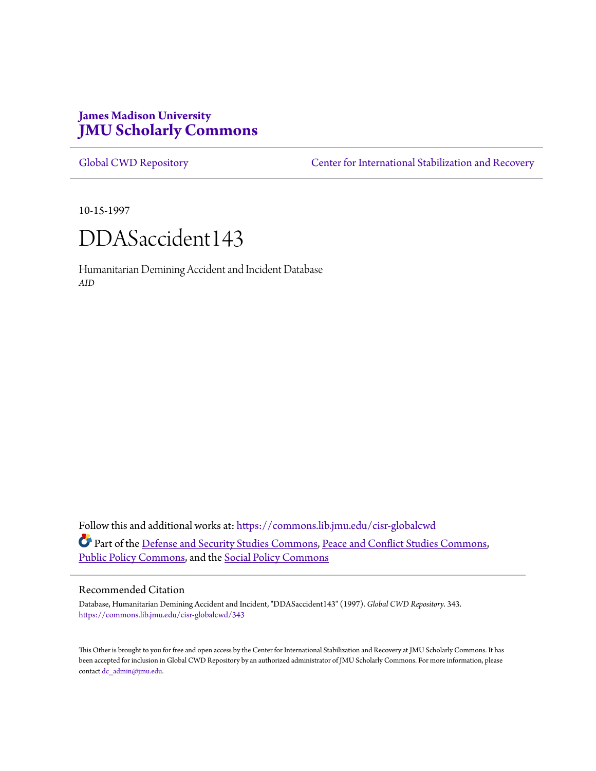# **James Madison University [JMU Scholarly Commons](https://commons.lib.jmu.edu?utm_source=commons.lib.jmu.edu%2Fcisr-globalcwd%2F343&utm_medium=PDF&utm_campaign=PDFCoverPages)**

[Global CWD Repository](https://commons.lib.jmu.edu/cisr-globalcwd?utm_source=commons.lib.jmu.edu%2Fcisr-globalcwd%2F343&utm_medium=PDF&utm_campaign=PDFCoverPages) **[Center for International Stabilization and Recovery](https://commons.lib.jmu.edu/cisr?utm_source=commons.lib.jmu.edu%2Fcisr-globalcwd%2F343&utm_medium=PDF&utm_campaign=PDFCoverPages)** 

10-15-1997



Humanitarian Demining Accident and Incident Database *AID*

Follow this and additional works at: [https://commons.lib.jmu.edu/cisr-globalcwd](https://commons.lib.jmu.edu/cisr-globalcwd?utm_source=commons.lib.jmu.edu%2Fcisr-globalcwd%2F343&utm_medium=PDF&utm_campaign=PDFCoverPages) Part of the [Defense and Security Studies Commons](http://network.bepress.com/hgg/discipline/394?utm_source=commons.lib.jmu.edu%2Fcisr-globalcwd%2F343&utm_medium=PDF&utm_campaign=PDFCoverPages), [Peace and Conflict Studies Commons](http://network.bepress.com/hgg/discipline/397?utm_source=commons.lib.jmu.edu%2Fcisr-globalcwd%2F343&utm_medium=PDF&utm_campaign=PDFCoverPages), [Public Policy Commons,](http://network.bepress.com/hgg/discipline/400?utm_source=commons.lib.jmu.edu%2Fcisr-globalcwd%2F343&utm_medium=PDF&utm_campaign=PDFCoverPages) and the [Social Policy Commons](http://network.bepress.com/hgg/discipline/1030?utm_source=commons.lib.jmu.edu%2Fcisr-globalcwd%2F343&utm_medium=PDF&utm_campaign=PDFCoverPages)

#### Recommended Citation

Database, Humanitarian Demining Accident and Incident, "DDASaccident143" (1997). *Global CWD Repository*. 343. [https://commons.lib.jmu.edu/cisr-globalcwd/343](https://commons.lib.jmu.edu/cisr-globalcwd/343?utm_source=commons.lib.jmu.edu%2Fcisr-globalcwd%2F343&utm_medium=PDF&utm_campaign=PDFCoverPages)

This Other is brought to you for free and open access by the Center for International Stabilization and Recovery at JMU Scholarly Commons. It has been accepted for inclusion in Global CWD Repository by an authorized administrator of JMU Scholarly Commons. For more information, please contact [dc\\_admin@jmu.edu.](mailto:dc_admin@jmu.edu)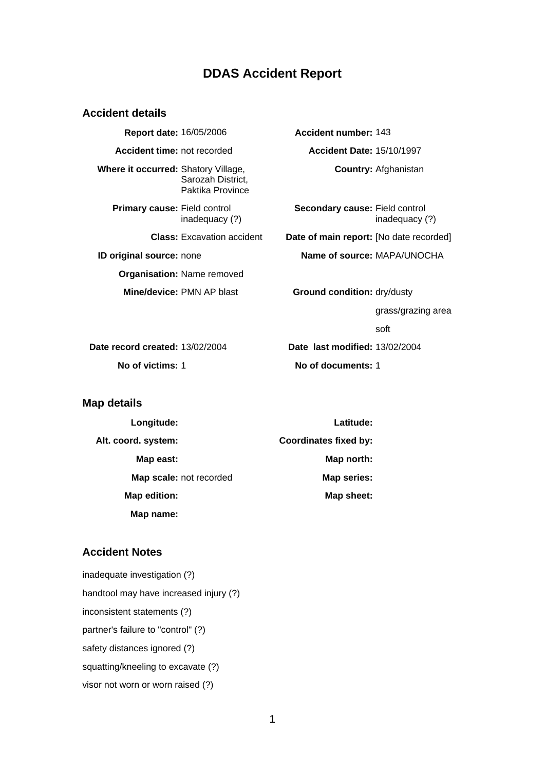# **DDAS Accident Report**

#### **Accident details**

**Report date:** 16/05/2006 **Accident number:** 143 **Accident time:** not recorded **Accident Date:** 15/10/1997 **Where it occurred:** Shatory Village, Sarozah District, Paktika Province **Primary cause:** Field control inadequacy (?) **ID original source:** none **Name of source:** MAPA/UNOCHA **Organisation:** Name removed **Mine/device:** PMN AP blast **Ground condition:** dry/dusty

**Country:** Afghanistan

**Secondary cause:** Field control inadequacy (?)

**Class:** Excavation accident **Date of main report:** [No date recorded]

grass/grazing area

soft

**Date record created:** 13/02/2004 **Date last modified:** 13/02/2004 **No of victims:** 1 **No of documents:** 1

#### **Map details**

| Longitude:              | Latitude:                    |
|-------------------------|------------------------------|
| Alt. coord. system:     | <b>Coordinates fixed by:</b> |
| Map east:               | Map north:                   |
| Map scale: not recorded | Map series:                  |
| Map edition:            | Map sheet:                   |
| Map name:               |                              |

## **Accident Notes**

inadequate investigation (?) handtool may have increased injury (?) inconsistent statements (?) partner's failure to "control" (?) safety distances ignored (?) squatting/kneeling to excavate (?) visor not worn or worn raised (?)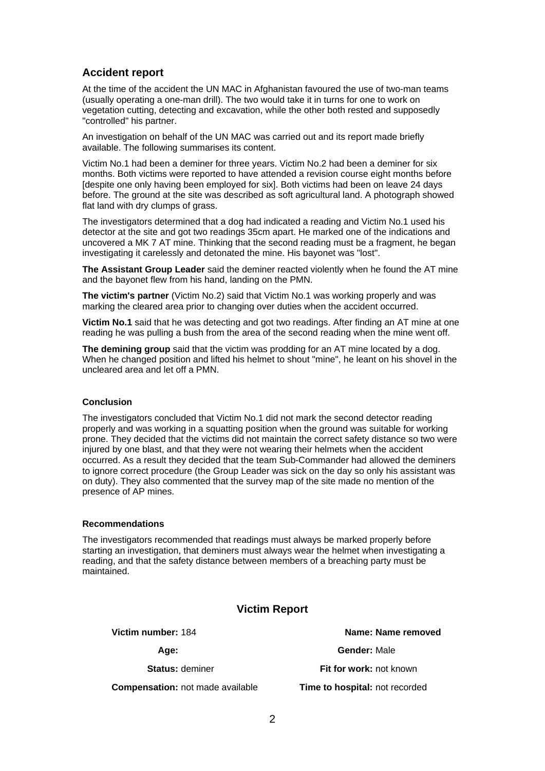# **Accident report**

At the time of the accident the UN MAC in Afghanistan favoured the use of two-man teams (usually operating a one-man drill). The two would take it in turns for one to work on vegetation cutting, detecting and excavation, while the other both rested and supposedly "controlled" his partner.

An investigation on behalf of the UN MAC was carried out and its report made briefly available. The following summarises its content.

Victim No.1 had been a deminer for three years. Victim No.2 had been a deminer for six months. Both victims were reported to have attended a revision course eight months before [despite one only having been employed for six]. Both victims had been on leave 24 days before. The ground at the site was described as soft agricultural land. A photograph showed flat land with dry clumps of grass.

The investigators determined that a dog had indicated a reading and Victim No.1 used his detector at the site and got two readings 35cm apart. He marked one of the indications and uncovered a MK 7 AT mine. Thinking that the second reading must be a fragment, he began investigating it carelessly and detonated the mine. His bayonet was "lost".

**The Assistant Group Leader** said the deminer reacted violently when he found the AT mine and the bayonet flew from his hand, landing on the PMN.

**The victim's partner** (Victim No.2) said that Victim No.1 was working properly and was marking the cleared area prior to changing over duties when the accident occurred.

**Victim No.1** said that he was detecting and got two readings. After finding an AT mine at one reading he was pulling a bush from the area of the second reading when the mine went off.

**The demining group** said that the victim was prodding for an AT mine located by a dog. When he changed position and lifted his helmet to shout "mine", he leant on his shovel in the uncleared area and let off a PMN.

#### **Conclusion**

The investigators concluded that Victim No.1 did not mark the second detector reading properly and was working in a squatting position when the ground was suitable for working prone. They decided that the victims did not maintain the correct safety distance so two were injured by one blast, and that they were not wearing their helmets when the accident occurred. As a result they decided that the team Sub-Commander had allowed the deminers to ignore correct procedure (the Group Leader was sick on the day so only his assistant was on duty). They also commented that the survey map of the site made no mention of the presence of AP mines.

#### **Recommendations**

The investigators recommended that readings must always be marked properly before starting an investigation, that deminers must always wear the helmet when investigating a reading, and that the safety distance between members of a breaching party must be maintained.

### **Victim Report**

**Compensation:** not made available **Time to hospital:** not recorded

**Victim number:** 184 **Name: Name removed Age: Gender:** Male **Status:** deminer **Fit for work:** not known